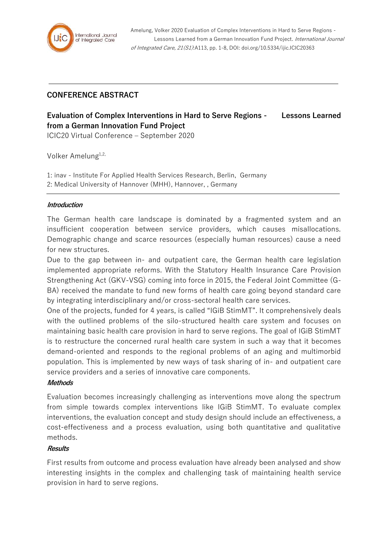

Amelung, Volker 2020 Evaluation of Complex Interventions in Hard to Serve Regions - Lessons Learned from a German Innovation Fund Project. International Journal of Integrated Care, 21(S1):A113, pp. 1-8, DOI: doi.org/10.5334/ijic.ICIC20363

# **CONFERENCE ABSTRACT**

# **Evaluation of Complex Interventions in Hard to Serve Regions - Lessons Learned from a German Innovation Fund Project**

ICIC20 Virtual Conference – September 2020

Volker Amelung<sup>1,2,</sup>

1: inav - Institute For Applied Health Services Research, Berlin, Germany 2: Medical University of Hannover (MHH), Hannover, , Germany

## **Introduction**

The German health care landscape is dominated by a fragmented system and an insufficient cooperation between service providers, which causes misallocations. Demographic change and scarce resources (especially human resources) cause a need for new structures.

Due to the gap between in- and outpatient care, the German health care legislation implemented appropriate reforms. With the Statutory Health Insurance Care Provision Strengthening Act (GKV-VSG) coming into force in 2015, the Federal Joint Committee (G-BA) received the mandate to fund new forms of health care going beyond standard care by integrating interdisciplinary and/or cross-sectoral health care services.

One of the projects, funded for 4 years, is called "IGiB StimMT". It comprehensively deals with the outlined problems of the silo-structured health care system and focuses on maintaining basic health care provision in hard to serve regions. The goal of IGiB StimMT is to restructure the concerned rural health care system in such a way that it becomes demand-oriented and responds to the regional problems of an aging and multimorbid population. This is implemented by new ways of task sharing of in- and outpatient care service providers and a series of innovative care components.

#### **Methods**

Evaluation becomes increasingly challenging as interventions move along the spectrum from simple towards complex interventions like IGiB StimMT. To evaluate complex interventions, the evaluation concept and study design should include an effectiveness, a cost-effectiveness and a process evaluation, using both quantitative and qualitative methods.

#### **Results**

First results from outcome and process evaluation have already been analysed and show interesting insights in the complex and challenging task of maintaining health service provision in hard to serve regions.